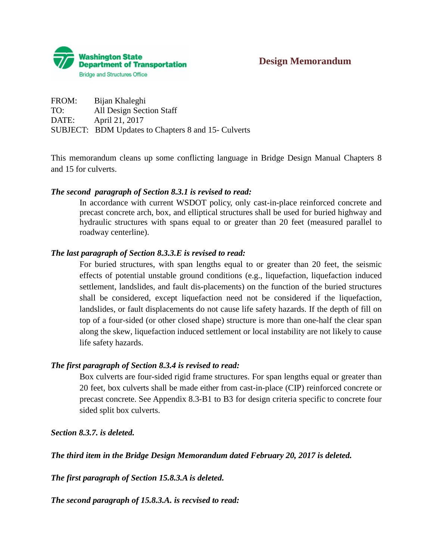

FROM: Bijan Khaleghi TO: All Design Section Staff DATE: April 21, 2017 SUBJECT: BDM Updates to Chapters 8 and 15- Culverts

This memorandum cleans up some conflicting language in Bridge Design Manual Chapters 8 and 15 for culverts.

### *The second paragraph of Section 8.3.1 is revised to read:*

In accordance with current WSDOT policy, only cast-in-place reinforced concrete and precast concrete arch, box, and elliptical structures shall be used for buried highway and hydraulic structures with spans equal to or greater than 20 feet (measured parallel to roadway centerline).

### *The last paragraph of Section 8.3.3.E is revised to read:*

For buried structures, with span lengths equal to or greater than 20 feet, the seismic effects of potential unstable ground conditions (e.g., liquefaction, liquefaction induced settlement, landslides, and fault dis-placements) on the function of the buried structures shall be considered, except liquefaction need not be considered if the liquefaction, landslides, or fault displacements do not cause life safety hazards. If the depth of fill on top of a four-sided (or other closed shape) structure is more than one-half the clear span along the skew, liquefaction induced settlement or local instability are not likely to cause life safety hazards.

### *The first paragraph of Section 8.3.4 is revised to read:*

Box culverts are four-sided rigid frame structures. For span lengths equal or greater than 20 feet, box culverts shall be made either from cast-in-place (CIP) reinforced concrete or precast concrete. See Appendix 8.3-B1 to B3 for design criteria specific to concrete four sided split box culverts.

*Section 8.3.7. is deleted.*

*The third item in the Bridge Design Memorandum dated February 20, 2017 is deleted.*

*The first paragraph of Section 15.8.3.A is deleted.*

*The second paragraph of 15.8.3.A. is recvised to read:*